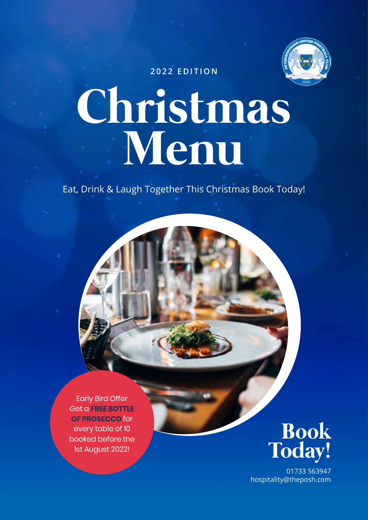

**2022 EDITION**

## **Christmas Menu**

Eat, Drink & Laugh Together This Christmas Book Today!

Early Bird Offer Get a **FREE BOTTLE OF PROSECCO** for every table of 10 booked before the 1st August 2022!



01733 563947 hospitality@theposh.com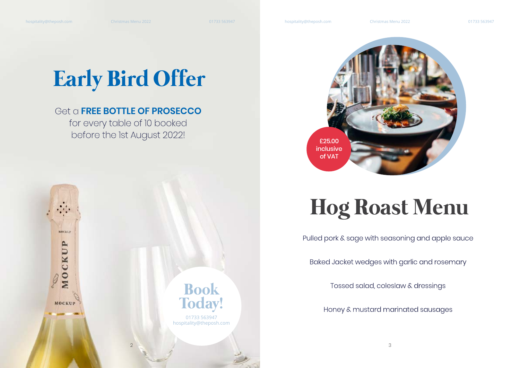MOCKUP

MOCKUP

**MOCKUP** 

## **Early Bird Offer**

#### Get a **FREE BOTTLE OF PROSECCO**

for every table of 10 booked before the 1st August 2022!

## **Hog Roast Menu**

Pulled pork & sage with seasoning and apple sauce

Baked Jacket wedges with garlic and rosemary

Tossed salad, coleslaw & dressings

Honey & mustard marinated sausages

 $2 \times 3$ 

01733 563947 hospitality@theposh.com

**Book** 

**Today!** 

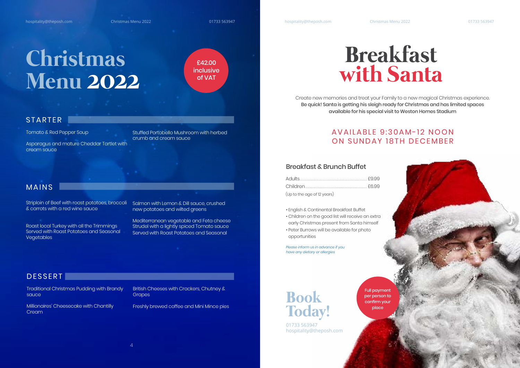hospitality@theposh.com

Christmas Menu 2022

01733 563947

Christmas Menu 2022

### Christmas **Menu 2022**

£42.00 *inclusive* of VAT

#### **STARTER**

Tomato & Red Pepper Soup

Asparaqus and mature Cheddar Tartlet with cream sauce

Stuffed Portobello Mushroom with herbed crumb and cream sauce

#### **MAINS**

Striploin of Beef with roast potatoes, broccoli & carrots with a red wine sauce

Roast local Turkey with all the Trimmings Served with Roast Potatoes and Seasonal **Vegetables** 

Salmon with Lemon & Dill sauce, crushed new potatoes and wilted greens

Mediterranean vegetable and Feta cheese Strudel with a lightly spiced Tomato sauce Served with Roast Potatoes and Seasonal

#### **DESSERT**

**Traditional Christmas Pudding with Brandy** sauce

Millionaires' Cheesecake with Chantilly Cream

British Cheeses with Crackers, Chutney & Grapes

Freshly brewed coffee and Mini Mince pies

### **Breakfast** with Santa

Create new memories and treat your Family to a new magical Christmas experience. Be quick! Santa is getting his sleigh ready for Christmas and has limited spaces available for his special visit to Weston Homes Stadium

#### AVAILARIE 9:30 AM-12 NOON ON SUNDAY 18TH DECEMBER

#### **Breakfast & Brunch Buffet**

(Up to the age of 12 years)

hospitality@theposh.com

. Enalish & Continental Breakfast Buffet

- Children on the good list will receive an extra early Christmas present from Santa himself
- · Peter Burrows will be available for photo opportunities

Please inform us in advance if you have any dietary or allergies



**Book Today!** 

01733 563947 hospitality@theposh.com